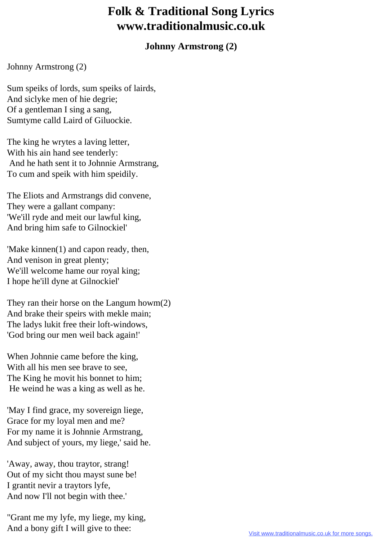## **Folk & Traditional Song Lyrics www.traditionalmusic.co.uk**

## **Johnny Armstrong (2)**

Johnny Armstrong (2)

Sum speiks of lords, sum speiks of lairds, And siclyke men of hie degrie; Of a gentleman I sing a sang, Sumtyme calld Laird of Giluockie.

The king he wrytes a laving letter, With his ain hand see tenderly: And he hath sent it to Johnnie Armstrang, To cum and speik with him speidily.

The Eliots and Armstrangs did convene, They were a gallant company: 'We'ill ryde and meit our lawful king, And bring him safe to Gilnockiel'

'Make kinnen(1) and capon ready, then, And venison in great plenty; We'ill welcome hame our royal king; I hope he'ill dyne at Gilnockiel'

They ran their horse on the Langum howm(2) And brake their speirs with mekle main; The ladys lukit free their loft-windows, 'God bring our men weil back again!'

When Johnnie came before the king, With all his men see brave to see, The King he movit his bonnet to him; He weind he was a king as well as he.

'May I find grace, my sovereign liege, Grace for my loyal men and me? For my name it is Johnnie Armstrang, And subject of yours, my liege,' said he.

'Away, away, thou traytor, strang! Out of my sicht thou mayst sune be! I grantit nevir a traytors lyfe, And now I'll not begin with thee.'

"Grant me my lyfe, my liege, my king, And a bony gift I will give to thee: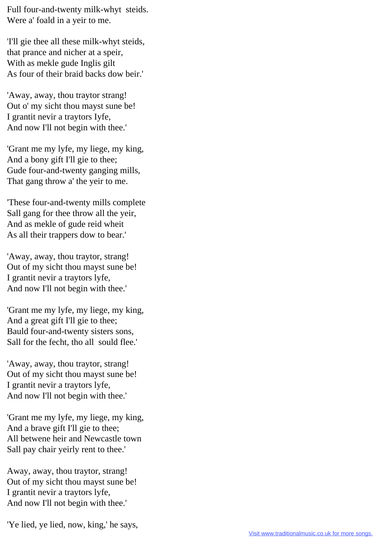Full four-and-twenty milk-whyt steids. Were a' foald in a yeir to me.

'I'll gie thee all these milk-whyt steids, that prance and nicher at a speir, With as mekle gude Inglis gilt As four of their braid backs dow beir.'

'Away, away, thou traytor strang! Out o' my sicht thou mayst sune be! I grantit nevir a traytors Iyfe, And now I'll not begin with thee.'

'Grant me my lyfe, my liege, my king, And a bony gift I'll gie to thee; Gude four-and-twenty ganging mills, That gang throw a' the yeir to me.

'These four-and-twenty mills complete Sall gang for thee throw all the yeir, And as mekle of gude reid wheit As all their trappers dow to bear.'

'Away, away, thou traytor, strang! Out of my sicht thou mayst sune be! I grantit nevir a traytors lyfe, And now I'll not begin with thee.'

'Grant me my lyfe, my liege, my king, And a great gift I'll gie to thee; Bauld four-and-twenty sisters sons, Sall for the fecht, tho all sould flee.'

'Away, away, thou traytor, strang! Out of my sicht thou mayst sune be! I grantit nevir a traytors lyfe, And now I'll not begin with thee.'

'Grant me my lyfe, my liege, my king, And a brave gift I'll gie to thee; All betwene heir and Newcastle town Sall pay chair yeirly rent to thee.'

Away, away, thou traytor, strang! Out of my sicht thou mayst sune be! I grantit nevir a traytors lyfe, And now I'll not begin with thee.'

'Ye lied, ye lied, now, king,' he says,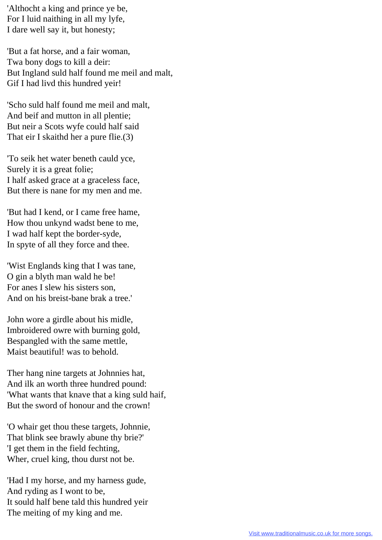'Althocht a king and prince ye be, For I luid naithing in all my lyfe, I dare well say it, but honesty;

'But a fat horse, and a fair woman, Twa bony dogs to kill a deir: But Ingland suld half found me meil and malt, Gif I had livd this hundred yeir!

'Scho suld half found me meil and malt, And beif and mutton in all plentie; But neir a Scots wyfe could half said That eir I skaithd her a pure flie.(3)

'To seik het water beneth cauld yce, Surely it is a great folie; I half asked grace at a graceless face, But there is nane for my men and me.

'But had I kend, or I came free hame, How thou unkynd wadst bene to me, I wad half kept the border-syde, In spyte of all they force and thee.

'Wist Englands king that I was tane, O gin a blyth man wald he be! For anes I slew his sisters son, And on his breist-bane brak a tree.'

John wore a girdle about his midle, Imbroidered owre with burning gold, Bespangled with the same mettle, Maist beautiful! was to behold.

Ther hang nine targets at Johnnies hat, And ilk an worth three hundred pound: 'What wants that knave that a king suld haif, But the sword of honour and the crown!

'O whair get thou these targets, Johnnie, That blink see brawly abune thy brie?' 'I get them in the field fechting, Wher, cruel king, thou durst not be.

'Had I my horse, and my harness gude, And ryding as I wont to be, It sould half bene tald this hundred yeir The meiting of my king and me.